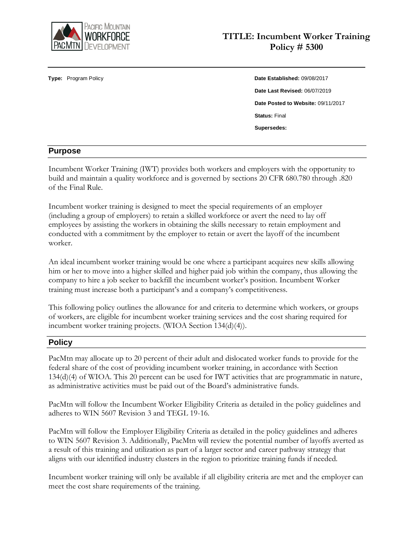

# **TITLE: Incumbent Worker Training Policy # 5300**

# **Type:** Program Policy **Date Established:** 09/08/2017 **Date Last Revised:** 06/07/2019 **Date Posted to Website:** 09/11/2017 **Status:** Final **Supersedes:**

#### **Purpose**

Incumbent Worker Training (IWT) provides both workers and employers with the opportunity to build and maintain a quality workforce and is governed by sections 20 CFR 680.780 through .820 of the Final Rule.

Incumbent worker training is designed to meet the special requirements of an employer (including a group of employers) to retain a skilled workforce or avert the need to lay off employees by assisting the workers in obtaining the skills necessary to retain employment and conducted with a commitment by the employer to retain or avert the layoff of the incumbent worker.

An ideal incumbent worker training would be one where a participant acquires new skills allowing him or her to move into a higher skilled and higher paid job within the company, thus allowing the company to hire a job seeker to backfill the incumbent worker's position. Incumbent Worker training must increase both a participant's and a company's competitiveness.

This following policy outlines the allowance for and criteria to determine which workers, or groups of workers, are eligible for incumbent worker training services and the cost sharing required for incumbent worker training projects. (WIOA Section 134(d)(4)).

#### **Policy**

PacMtn may allocate up to 20 percent of their adult and dislocated worker funds to provide for the federal share of the cost of providing incumbent worker training, in accordance with Section 134(d)(4) of WIOA. This 20 percent can be used for IWT activities that are programmatic in nature, as administrative activities must be paid out of the Board's administrative funds.

PacMtn will follow the Incumbent Worker Eligibility Criteria as detailed in the policy guidelines and adheres to WIN 5607 Revision 3 and TEGL 19-16.

PacMtn will follow the Employer Eligibility Criteria as detailed in the policy guidelines and adheres to WIN 5607 Revision 3. Additionally, PacMtn will review the potential number of layoffs averted as a result of this training and utilization as part of a larger sector and career pathway strategy that aligns with our identified industry clusters in the region to prioritize training funds if needed.

Incumbent worker training will only be available if all eligibility criteria are met and the employer can meet the cost share requirements of the training.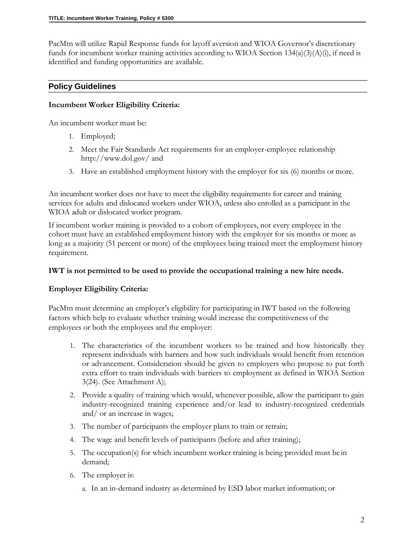PacMtn will utilize Rapid Response funds for layoff aversion and WIOA Governor's discretionary funds for incumbent worker training activities according to WIOA Section 134(a)(3)(A)(i), if need is identified and funding opportunities are available.

## **Policy Guidelines**

#### **Incumbent Worker Eligibility Criteria:**

An incumbent worker must be:

- 1. Employed;
- 2. Meet the Fair Standards Act requirements for an employer-employee relationship http://www.dol.gov/ and
- 3. Have an established employment history with the employer for six (6) months or more.

An incumbent worker does not have to meet the eligibility requirements for career and training services for adults and dislocated workers under WIOA, unless also enrolled as a participant in the WIOA adult or dislocated worker program.

If incumbent worker training is provided to a cohort of employees, not every employee in the cohort must have an established employment history with the employer for six months or more as long as a majority (51 percent or more) of the employees being trained meet the employment history requirement.

#### **IWT is not permitted to be used to provide the occupational training a new hire needs.**

## **Employer Eligibility Criteria:**

PacMtn must determine an employer's eligibility for participating in IWT based on the following factors which help to evaluate whether training would increase the competitiveness of the employees or both the employees and the employer:

- 1. The characteristics of the incumbent workers to be trained and how historically they represent individuals with barriers and how such individuals would benefit from retention or advancement. Consideration should be given to employers who propose to put forth extra effort to train individuals with barriers to employment as defined in WIOA Section 3(24). (See Attachment A);
- 2. Provide a quality of training which would, whenever possible, allow the participant to gain industry-recognized training experience and/or lead to industry-recognized credentials and/ or an increase in wages;
- 3. The number of participants the employer plans to train or retrain;
- 4. The wage and benefit levels of participants (before and after training);
- 5. The occupation(s) for which incumbent worker training is being provided must be in demand;
- 6. The employer is:
	- a. In an in-demand industry as determined by ESD labor market information; or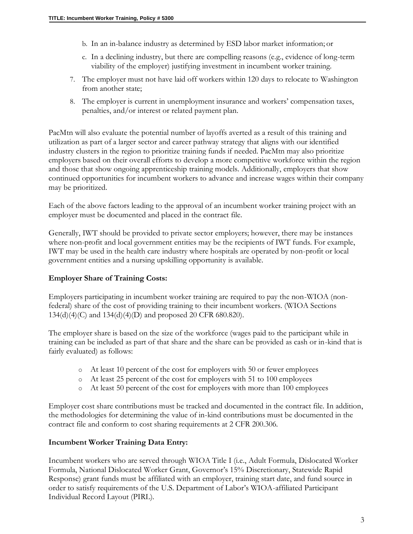- b. In an in-balance industry as determined by ESD labor market information; or
- c. In a declining industry, but there are compelling reasons (e.g., evidence of long-term viability of the employer) justifying investment in incumbent worker training.
- 7. The employer must not have laid off workers within 120 days to relocate to Washington from another state;
- 8. The employer is current in unemployment insurance and workers' compensation taxes, penalties, and/or interest or related payment plan.

PacMtn will also evaluate the potential number of layoffs averted as a result of this training and utilization as part of a larger sector and career pathway strategy that aligns with our identified industry clusters in the region to prioritize training funds if needed. PacMtn may also prioritize employers based on their overall efforts to develop a more competitive workforce within the region and those that show ongoing apprenticeship training models. Additionally, employers that show continued opportunities for incumbent workers to advance and increase wages within their company may be prioritized.

Each of the above factors leading to the approval of an incumbent worker training project with an employer must be documented and placed in the contract file.

Generally, IWT should be provided to private sector employers; however, there may be instances where non-profit and local government entities may be the recipients of IWT funds. For example, IWT may be used in the health care industry where hospitals are operated by non-profit or local government entities and a nursing upskilling opportunity is available.

## **Employer Share of Training Costs:**

Employers participating in incumbent worker training are required to pay the non-WIOA (nonfederal) share of the cost of providing training to their incumbent workers. (WIOA Sections 134(d)(4)(C) and 134(d)(4)(D) and proposed 20 CFR 680.820).

The employer share is based on the size of the workforce (wages paid to the participant while in training can be included as part of that share and the share can be provided as cash or in-kind that is fairly evaluated) as follows:

- o At least 10 percent of the cost for employers with 50 or fewer employees
- o At least 25 percent of the cost for employers with 51 to 100 employees
- o At least 50 percent of the cost for employers with more than 100 employees

Employer cost share contributions must be tracked and documented in the contract file. In addition, the methodologies for determining the value of in-kind contributions must be documented in the contract file and conform to cost sharing requirements at 2 CFR 200.306.

#### **Incumbent Worker Training Data Entry:**

Incumbent workers who are served through WIOA Title I (i.e., Adult Formula, Dislocated Worker Formula, National Dislocated Worker Grant, Governor's 15% Discretionary, Statewide Rapid Response) grant funds must be affiliated with an employer, training start date, and fund source in order to satisfy requirements of the U.S. Department of Labor's WIOA-affiliated Participant Individual Record Layout (PIRL).